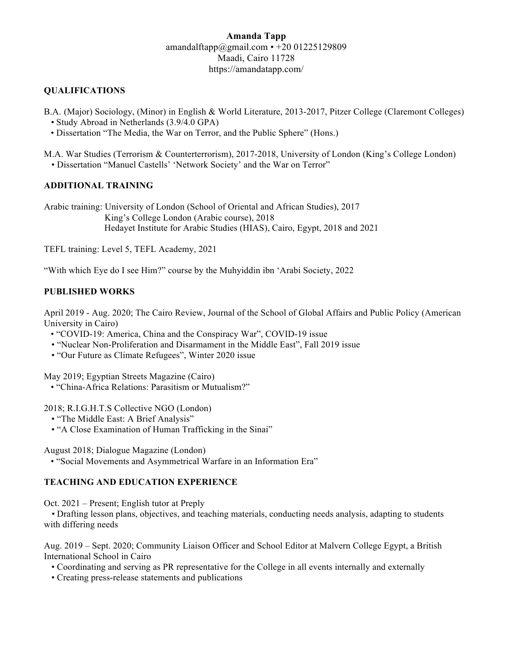# **Amanda Tapp** amandalftapp@gmail.com  $\cdot$  +20 01225129809 Maadi, Cairo 11728 https://amandatapp.com/

## **QUALIFICATIONS**

B.A. (Major) Sociology, (Minor) in English & World Literature, 2013-2017, Pitzer College (Claremont Colleges)  *•* Study Abroad in Netherlands (3.9/4.0 GPA)

- Dissertation "The Media, the War on Terror, and the Public Sphere" (Hons.)
- M.A. War Studies (Terrorism & Counterterrorism), 2017-2018, University of London (King's College London) • Dissertation "Manuel Castells' 'Network Society' and the War on Terror"

#### **ADDITIONAL TRAINING**

Arabic training: University of London (School of Oriental and African Studies), 2017 King's College London (Arabic course), 2018 Hedayet Institute for Arabic Studies (HIAS), Cairo, Egypt, 2018 and 2021

TEFL training: Level 5, TEFL Academy, 2021

"With which Eye do I see Him?" course by the Muhyiddin ibn 'Arabi Society, 2022

## **PUBLISHED WORKS**

April 2019 - Aug. 2020; The Cairo Review, Journal of the School of Global Affairs and Public Policy (American University in Cairo)

- "COVID-19: America, China and the Conspiracy War", COVID-19 issue
- "Nuclear Non-Proliferation and Disarmament in the Middle East", Fall 2019 issue
- "Our Future as Climate Refugees", Winter 2020 issue

May 2019; Egyptian Streets Magazine (Cairo)

• "China-Africa Relations: Parasitism or Mutualism?"

2018; R.I.G.H.T.S Collective NGO (London)

- "The Middle East: A Brief Analysis"
- "A Close Examination of Human Trafficking in the Sinai"

August 2018; Dialogue Magazine (London)

• "Social Movements and Asymmetrical Warfare in an Information Era"

#### **TEACHING AND EDUCATION EXPERIENCE**

Oct. 2021 – Present; English tutor at Preply

*•* Drafting lesson plans, objectives, and teaching materials, conducting needs analysis, adapting to students with differing needs

Aug. 2019 – Sept. 2020; Community Liaison Officer and School Editor at Malvern College Egypt, a British International School in Cairo

- Coordinating and serving as PR representative for the College in all events internally and externally
- Creating press-release statements and publications